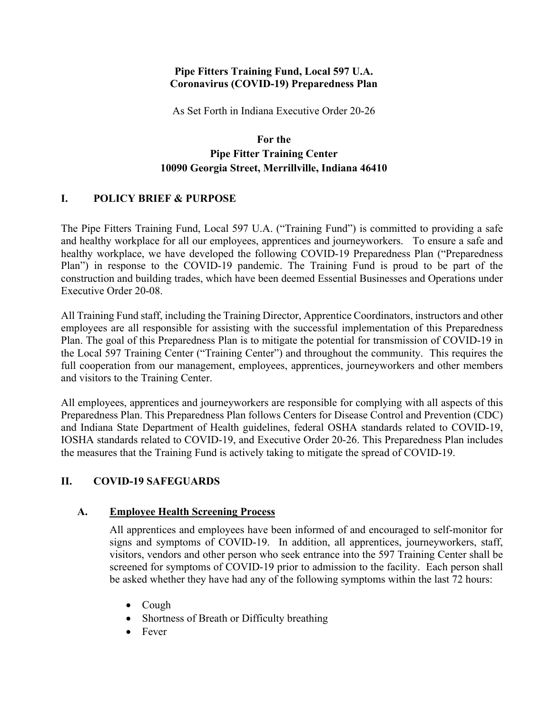#### **Pipe Fitters Training Fund, Local 597 U.A. Coronavirus (COVID-19) Preparedness Plan**

As Set Forth in Indiana Executive Order 20-26

# **For the Pipe Fitter Training Center 10090 Georgia Street, Merrillville, Indiana 46410**

### **I. POLICY BRIEF & PURPOSE**

The Pipe Fitters Training Fund, Local 597 U.A. ("Training Fund") is committed to providing a safe and healthy workplace for all our employees, apprentices and journeyworkers. To ensure a safe and healthy workplace, we have developed the following COVID-19 Preparedness Plan ("Preparedness Plan") in response to the COVID-19 pandemic. The Training Fund is proud to be part of the construction and building trades, which have been deemed Essential Businesses and Operations under Executive Order 20-08.

All Training Fund staff, including the Training Director, Apprentice Coordinators, instructors and other employees are all responsible for assisting with the successful implementation of this Preparedness Plan. The goal of this Preparedness Plan is to mitigate the potential for transmission of COVID-19 in the Local 597 Training Center ("Training Center") and throughout the community. This requires the full cooperation from our management, employees, apprentices, journeyworkers and other members and visitors to the Training Center.

All employees, apprentices and journeyworkers are responsible for complying with all aspects of this Preparedness Plan. This Preparedness Plan follows Centers for Disease Control and Prevention (CDC) and Indiana State Department of Health guidelines, federal OSHA standards related to COVID-19, IOSHA standards related to COVID-19, and Executive Order 20-26. This Preparedness Plan includes the measures that the Training Fund is actively taking to mitigate the spread of COVID-19.

### **II. COVID-19 SAFEGUARDS**

### **A. Employee Health Screening Process**

All apprentices and employees have been informed of and encouraged to self-monitor for signs and symptoms of COVID-19. In addition, all apprentices, journeyworkers, staff, visitors, vendors and other person who seek entrance into the 597 Training Center shall be screened for symptoms of COVID-19 prior to admission to the facility. Each person shall be asked whether they have had any of the following symptoms within the last 72 hours:

- Cough
- Shortness of Breath or Difficulty breathing
- Fever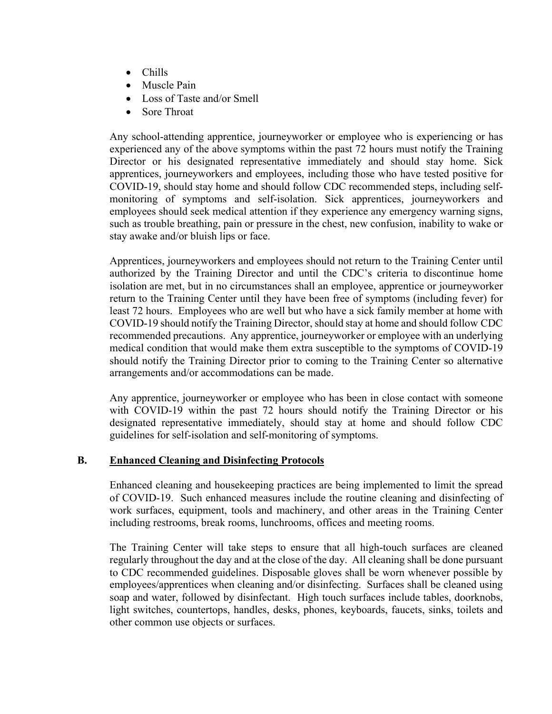- Chills
- Muscle Pain
- Loss of Taste and/or Smell
- Sore Throat

Any school-attending apprentice, journeyworker or employee who is experiencing or has experienced any of the above symptoms within the past 72 hours must notify the Training Director or his designated representative immediately and should stay home. Sick apprentices, journeyworkers and employees, including those who have tested positive for COVID-19, should stay home and should follow CDC recommended steps, including selfmonitoring of symptoms and self-isolation. Sick apprentices, journeyworkers and employees should seek medical attention if they experience any emergency warning signs, such as trouble breathing, pain or pressure in the chest, new confusion, inability to wake or stay awake and/or bluish lips or face.

Apprentices, journeyworkers and employees should not return to the Training Center until authorized by the Training Director and until the CDC's criteria to discontinue home isolation are met, but in no circumstances shall an employee, apprentice or journeyworker return to the Training Center until they have been free of symptoms (including fever) for least 72 hours. Employees who are well but who have a sick family member at home with COVID-19 should notify the Training Director, should stay at home and should follow CDC recommended precautions. Any apprentice, journeyworker or employee with an underlying medical condition that would make them extra susceptible to the symptoms of COVID-19 should notify the Training Director prior to coming to the Training Center so alternative arrangements and/or accommodations can be made.

Any apprentice, journeyworker or employee who has been in close contact with someone with COVID-19 within the past 72 hours should notify the Training Director or his designated representative immediately, should stay at home and should follow CDC guidelines for self-isolation and self-monitoring of symptoms.

### **B. Enhanced Cleaning and Disinfecting Protocols**

Enhanced cleaning and housekeeping practices are being implemented to limit the spread of COVID-19. Such enhanced measures include the routine cleaning and disinfecting of work surfaces, equipment, tools and machinery, and other areas in the Training Center including restrooms, break rooms, lunchrooms, offices and meeting rooms.

The Training Center will take steps to ensure that all high-touch surfaces are cleaned regularly throughout the day and at the close of the day. All cleaning shall be done pursuant to CDC recommended guidelines. Disposable gloves shall be worn whenever possible by employees/apprentices when cleaning and/or disinfecting. Surfaces shall be cleaned using soap and water, followed by disinfectant. High touch surfaces include tables, doorknobs, light switches, countertops, handles, desks, phones, keyboards, faucets, sinks, toilets and other common use objects or surfaces.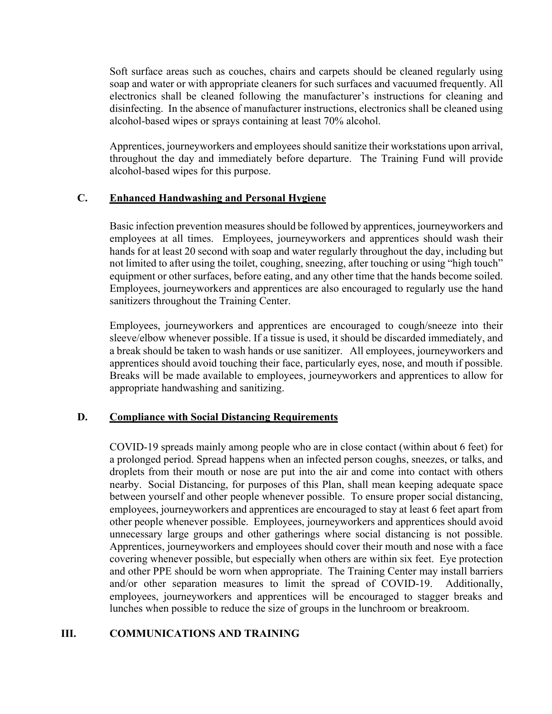Soft surface areas such as couches, chairs and carpets should be cleaned regularly using soap and water or with appropriate cleaners for such surfaces and vacuumed frequently. All electronics shall be cleaned following the manufacturer's instructions for cleaning and disinfecting. In the absence of manufacturer instructions, electronics shall be cleaned using alcohol-based wipes or sprays containing at least 70% alcohol.

Apprentices, journeyworkers and employees should sanitize their workstations upon arrival, throughout the day and immediately before departure. The Training Fund will provide alcohol-based wipes for this purpose.

#### **C. Enhanced Handwashing and Personal Hygiene**

Basic infection prevention measures should be followed by apprentices, journeyworkers and employees at all times. Employees, journeyworkers and apprentices should wash their hands for at least 20 second with soap and water regularly throughout the day, including but not limited to after using the toilet, coughing, sneezing, after touching or using "high touch" equipment or other surfaces, before eating, and any other time that the hands become soiled. Employees, journeyworkers and apprentices are also encouraged to regularly use the hand sanitizers throughout the Training Center.

Employees, journeyworkers and apprentices are encouraged to cough/sneeze into their sleeve/elbow whenever possible. If a tissue is used, it should be discarded immediately, and a break should be taken to wash hands or use sanitizer. All employees, journeyworkers and apprentices should avoid touching their face, particularly eyes, nose, and mouth if possible. Breaks will be made available to employees, journeyworkers and apprentices to allow for appropriate handwashing and sanitizing.

### **D. Compliance with Social Distancing Requirements**

COVID-19 spreads mainly among people who are in close contact (within about 6 feet) for a prolonged period. Spread happens when an infected person coughs, sneezes, or talks, and droplets from their mouth or nose are put into the air and come into contact with others nearby. Social Distancing, for purposes of this Plan, shall mean keeping adequate space between yourself and other people whenever possible. To ensure proper social distancing, employees, journeyworkers and apprentices are encouraged to stay at least 6 feet apart from other people whenever possible. Employees, journeyworkers and apprentices should avoid unnecessary large groups and other gatherings where social distancing is not possible. Apprentices, journeyworkers and employees should cover their mouth and nose with a face covering whenever possible, but especially when others are within six feet. Eye protection and other PPE should be worn when appropriate. The Training Center may install barriers and/or other separation measures to limit the spread of COVID-19. Additionally, employees, journeyworkers and apprentices will be encouraged to stagger breaks and lunches when possible to reduce the size of groups in the lunchroom or breakroom.

### **III. COMMUNICATIONS AND TRAINING**